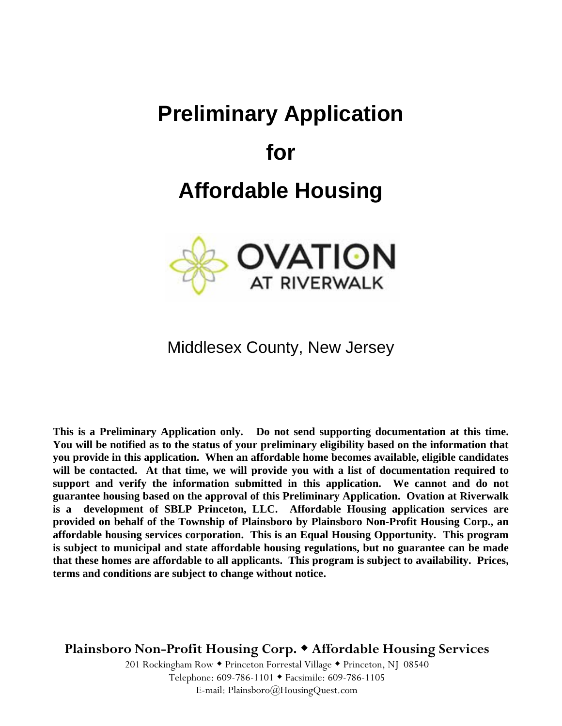# **Preliminary Application**

### **for**

# **Affordable Housing**



#### Middlesex County, New Jersey

**This is a Preliminary Application only. Do not send supporting documentation at this time. You will be notified as to the status of your preliminary eligibility based on the information that you provide in this application. When an affordable home becomes available, eligible candidates will be contacted. At that time, we will provide you with a list of documentation required to support and verify the information submitted in this application. We cannot and do not guarantee housing based on the approval of this Preliminary Application. Ovation at Riverwalk is a development of SBLP Princeton, LLC. Affordable Housing application services are provided on behalf of the Township of Plainsboro by Plainsboro Non-Profit Housing Corp., an affordable housing services corporation. This is an Equal Housing Opportunity. This program is subject to municipal and state affordable housing regulations, but no guarantee can be made that these homes are affordable to all applicants. This program is subject to availability. Prices, terms and conditions are subject to change without notice.**

**Plainsboro Non-Profit Housing Corp. Affordable Housing Services**

201 Rockingham Row • Princeton Forrestal Village • Princeton, NJ 08540 Telephone: 609-786-1101 Facsimile: 609-786-1105 E-mail: Plainsboro@HousingQuest.com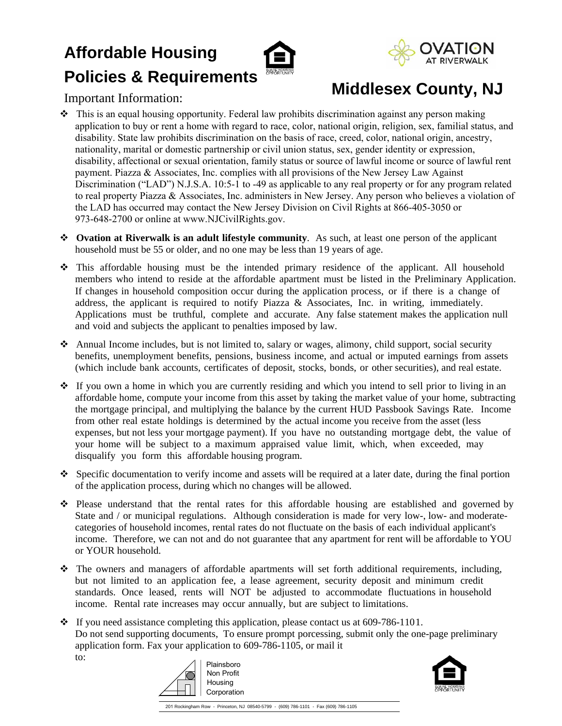## **Affordable Housing Policies & Requirements**



Important Information:

### **Middlesex County, NJ**

- This is an equal housing opportunity. Federal law prohibits discrimination against any person making application to buy or rent a home with regard to race, color, national origin, religion, sex, familial status, and disability. State law prohibits discrimination on the basis of race, creed, color, national origin, ancestry, nationality, marital or domestic partnership or civil union status, sex, gender identity or expression, disability, affectional or sexual orientation, family status or source of lawful income or source of lawful rent payment. Piazza & Associates, Inc. complies with all provisions of the New Jersey Law Against Discrimination ("LAD") N.J.S.A. 10:5-1 to -49 as applicable to any real property or for any program related to real property Piazza & Associates, Inc. administers in New Jersey. Any person who believes a violation of the LAD has occurred may contact the New Jersey Division on Civil Rights at 866-405-3050 or 973-648-2700 or online at www.NJCivilRights.gov.
- **Ovation at Riverwalk is an adult lifestyle community**. As such, at least one person of the applicant household must be 55 or older, and no one may be less than 19 years of age.
- This affordable housing must be the intended primary residence of the applicant. All household members who intend to reside at the affordable apartment must be listed in the Preliminary Application. If changes in household composition occur during the application process, or if there is a change of address, the applicant is required to notify Piazza & Associates, Inc. in writing, immediately. Applications must be truthful, complete and accurate. Any false statement makes the application null and void and subjects the applicant to penalties imposed by law.
- Annual Income includes, but is not limited to, salary or wages, alimony, child support, social security benefits, unemployment benefits, pensions, business income, and actual or imputed earnings from assets (which include bank accounts, certificates of deposit, stocks, bonds, or other securities), and real estate.
- If you own a home in which you are currently residing and which you intend to sell prior to living in an affordable home, compute your income from this asset by taking the market value of your home, subtracting the mortgage principal, and multiplying the balance by the current HUD Passbook Savings Rate. Income from other real estate holdings is determined by the actual income you receive from the asset (less expenses, but not less your mortgage payment). If you have no outstanding mortgage debt, the value of your home will be subject to a maximum appraised value limit, which, when exceeded, may disqualify you form this affordable housing program.
- Specific documentation to verify income and assets will be required at a later date, during the final portion of the application process, during which no changes will be allowed.
- Please understand that the rental rates for this affordable housing are established and governed by State and / or municipal regulations. Although consideration is made for very low-, low- and moderatecategories of household incomes, rental rates do not fluctuate on the basis of each individual applicant's income. Therefore, we can not and do not guarantee that any apartment for rent will be affordable to YOU or YOUR household.
- $\hat{\cdot}$  The owners and managers of affordable apartments will set forth additional requirements, including, but not limited to an application fee, a lease agreement, security deposit and minimum credit standards. Once leased, rents will NOT be adjusted to accommodate fluctuations in household income. Rental rate increases may occur annually, but are subject to limitations.
- \* If you need assistance completing this application, please contact us at 609-786-1101. Do not send supporting documents, To ensure prompt porcessing, submit only the one-page preliminary application form. Fax your application to 609-786-1105, or mail it to:





201 Rockingham Row - Princeton, NJ 08540-5799 - (609) 786-1101 - Fax (609) 786-1105